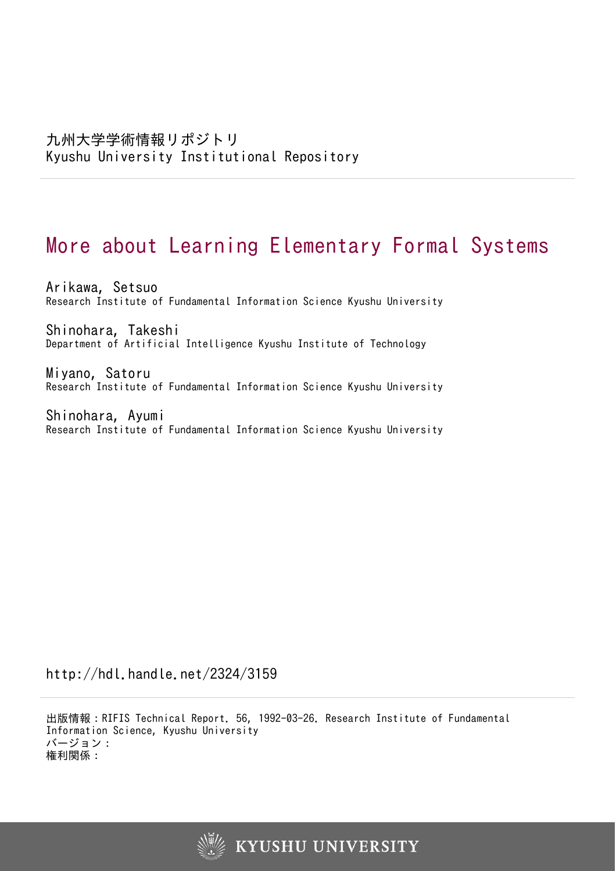# More about Learning Elementary Formal Systems

Arikawa, Setsuo Research Institute of Fundamental Information Science Kyushu University

Shinohara, Takeshi Department of Artificial Intelligence Kyushu Institute of Technology

Miyano, Satoru Research Institute of Fundamental Information Science Kyushu University

Shinohara, Ayumi Research Institute of Fundamental Information Science Kyushu University

http://hdl.handle.net/2324/3159

出版情報:RIFIS Technical Report. 56, 1992-03-26. Research Institute of Fundamental Information Science, Kyushu University バージョン: 権利関係:

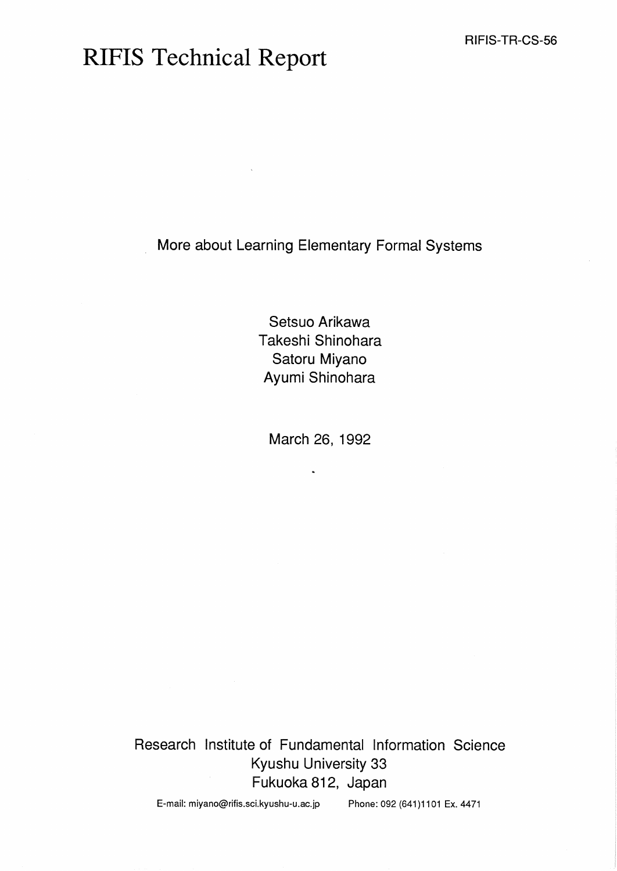# RIFIS Technical Report

More about Learning Elementary Formal Systems

Setsuo Arikawa Takeshi Shinohara Satoru Miyano Ayumi Shinohara

March 26, 1992

**s,** 

Research Institute of Fundamental Information Science Kyushu University 33 Fukuoka 812, Japan

E-mail: miyano@rifis.sci.kyushu-u.ac.jp Phone: 092 (641)1101 Ex. 4471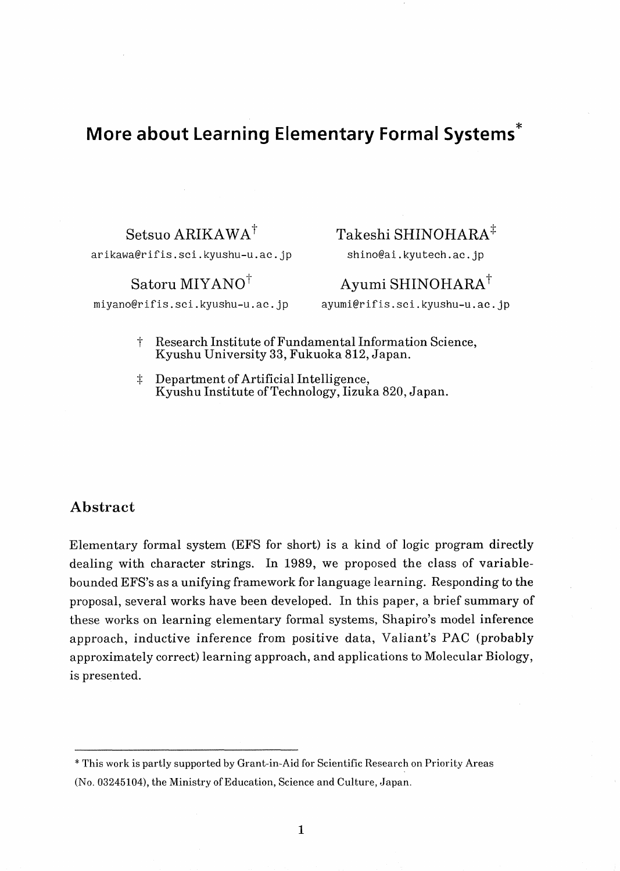# **More about Learning Elementary Formal systems\***

**arikawa@rifis.sci.kyushu-u.ac.jp shino@ai.kyutech.ac.jp** 

# $\text{Setsuo} \overrightarrow{\text{ARIKAWA}}^{\dagger}$  Takeshi SHINOHARA<sup> $\ddagger$ </sup>

## $~\rm{Satoru}~\rm{MIYANO}^\dagger$  Ayumi SHINOHARA<sup>†</sup>

**miyano@rifis.sci.kyushu-u.ac.jp ayumi@rifis.sci.kyushu-u.ac!.jp** 

- t Research Institute of Fundamental Information Science, Kyushu University 33, Fukuoka 812, Japan.
- $\ddagger$  Department of Artificial Intelligence, Kyushu Institute of Technology, Iizuka 820, Japan.

### **Abstract**

Elementary formal system (EFS for short) is a kind of logic program directly dealing with character strings. In 1989, we proposed the class of variablebounded EFS's as a unifying framework for language learning. Responding to the proposal, several works have been developed. In this paper, a brief summary of these works on learning elementary formal systems, Shapiro's model inference approach, inductive inference from positive data, Valiant's PAC (probably approximately correct) learning approach, and applications to Molecular Biology, is presented.

<sup>\*</sup> This work is partly supported by Grant-in-Aid for Scientific Research on Priority Areas (No. 03245104), the Ministry of Education, Science and Culture, Japan.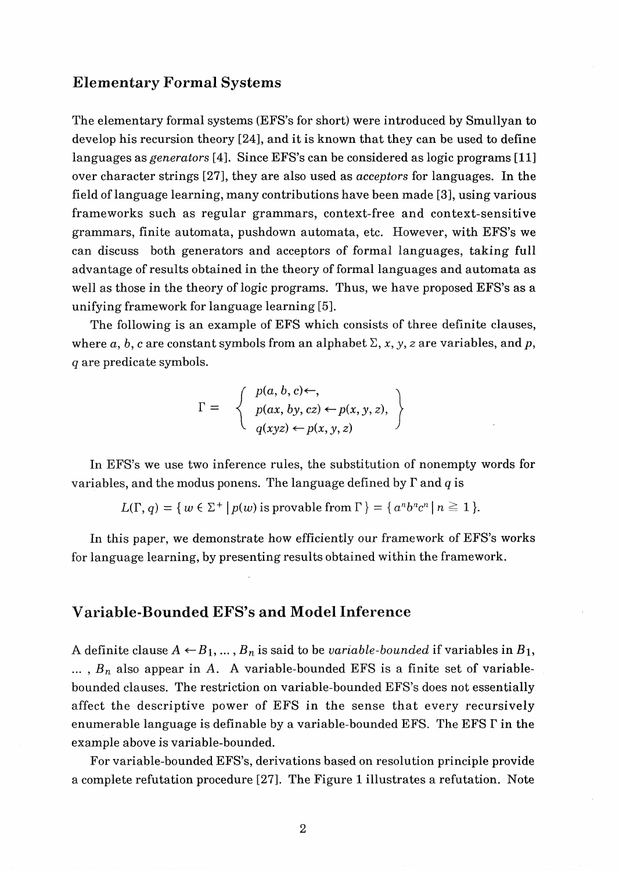#### **Elementary Formal Systems**

The elementary formal systems (EFS's for short) were introduced by Smullyan to develop his recursion theory [24], and it is known that they can be used to define languages as *generators* [4]. Since EFS's can be considered as logic programs [11] over character strings [27], they are also used as acceptors for languages. In the field of language learning, many contributions have been made **[3],** using various frameworks such as regular grammars, context-free and context-sensitive grammars, finite automata, pushdown automata, etc. However, with EFS's we can discuss both generators and acceptors of formal languages, taking full advantage of results obtained in the theory of formal languages and automata as well as those in the theory of logic programs. Thus, we have proposed EFS's as a unifying framework for language learning [5].

The following is an example of EFS which consists of three definite clauses, where a, b, c are constant symbols from an alphabet  $\Sigma$ , x, y, z are variables, and p, q are predicate symbols.

$$
\Gamma = \left\{ \begin{array}{l} p(a, b, c) \leftarrow, \\ p(ax, by, cz) \leftarrow p(x, y, z), \\ q(xyz) \leftarrow p(x, y, z) \end{array} \right\}
$$

In EFS's we use two inference rules, the substitution of nonempty words for variables, and the modus ponens. The language defined by  $\Gamma$  and  $q$  is

$$
L(\Gamma, q) = \{ w \in \Sigma^+ \mid p(w) \text{ is provable from } \Gamma \} = \{ a^n b^n c^n \mid n \ge 1 \}.
$$

In this paper, we demonstrate how efficiently our framework of EFS's works for language learning, by presenting results obtained within the framework.

#### **Variable-Bounded EFS's and Model Inference**

A definite clause  $A \leftarrow B_1, ..., B_n$  is said to be *variable-bounded* if variables in  $B_1$ ,  $\ldots$ ,  $B_n$  also appear in A. A variable-bounded EFS is a finite set of variablebounded clauses. The restriction on variable-bounded EFS's does not essentially affect the descriptive power of EFS in the sense that every recursively enumerable language is definable by a variable-bounded EFS. The EFS **I'** in the example above is variable-bounded.

For variable-bounded EFS's, derivations based on resolution principle provide a complete refutation procedure [27]. The Figure 1 illustrates a refutation. Note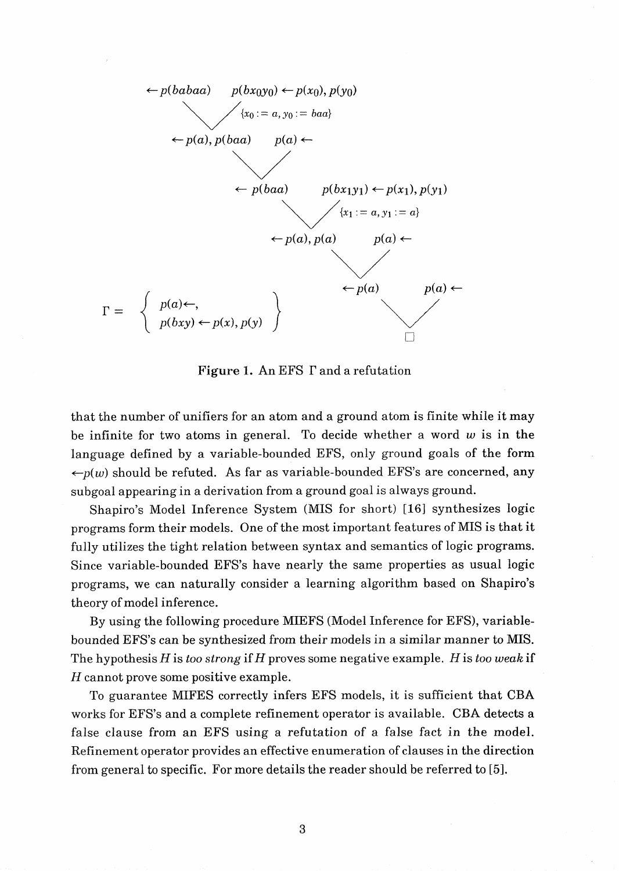

Figure **1.** An EFS **I'** and a refutation

that the number of unifiers for an atom and a ground atom is finite while it may be infinite for two atoms in general. To decide whether a word **w** is in the language defined by a variable-bounded EFS, only ground goals of the form  $-p(w)$  should be refuted. As far as variable-bounded EFS's are concerned, any subgoal appearing in a derivation from a ground goal is always ground.

Shapiro's Model Inference System (MIS for short) **[16]** synthesizes logic programs form their models. One of the most important features of MIS is that it fully utilizes the tight relation between syntax and semantics of logic programs. Since variable-bounded EFS's have nearly the same properties as usual logic programs, we can naturally consider a learning algorithm based on Shapiro's theory of model inference.

By using the following procedure MIEFS (Model Inference for EFS), variablebounded EFS's can be synthesized from their models in a similar manner to MIS. The hypothesis *H* is too strong if *H* proves some negative example. *H* is too **weak** if *H* cannot prove some positive example.

To guarantee MIFES correctly infers EFS models, it is sufficient that CBA works for EFS's and a complete refinement operator is available. CBA detects a false clause from an EFS using a refutation of a false fact in the model. Refinement operator provides an effective enumeration of clauses in the direction from general to specific. For more details the reader should be referred to [5].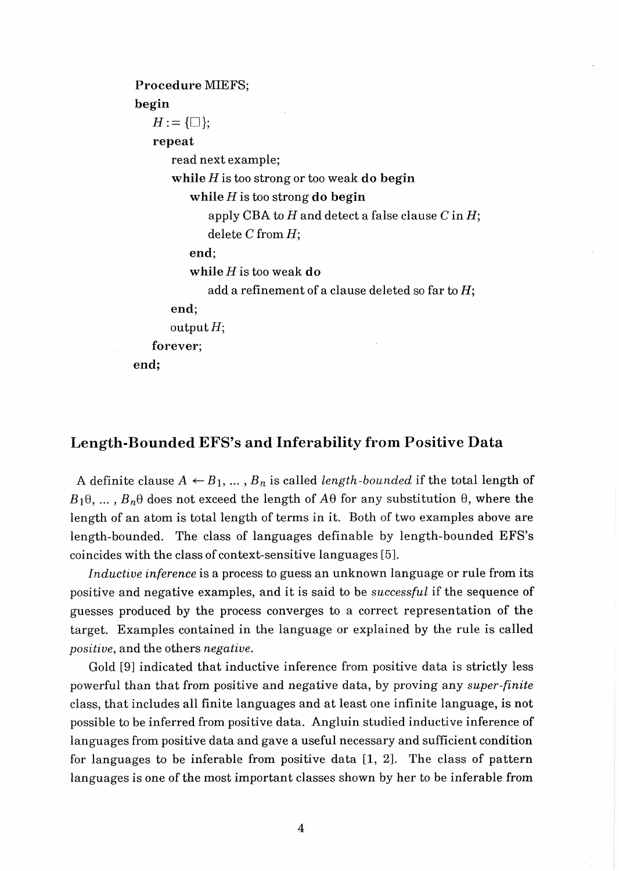```
Procedure MIEFS; 
begin 
   H:=\{\Box\};repeat 
       read next example; 
       while H is too strong or too weak do begin 
          while H is too strong do begin 
             apply CBA to H and detect a false clause C in H;
             delete C from H; 
          end; 
          while His too weak do 
             add a refinement of a clause deleted so far to H;
      end; 
      output H; 
   forever; 
end;
```
#### **Length-Bounded EFS's and Inferability from Positive Data**

A definite clause  $A \leftarrow B_1, \ldots, B_n$  is called *length-bounded* if the total length of  $B_1\theta$ , ...,  $B_n\theta$  does not exceed the length of  $A\theta$  for any substitution  $\theta$ , where the length of an atom is total length of terms in it. Both of two examples above are length-bounded. The class of languages definable by length-bounded EFS's coincides with the class of context-sensitive languages [5].

Inductive inference is a process to guess an unknown language or rule from its positive and negative examples, and it is said to be successful if the sequence of guesses produced by the process converges to a correct representation of the target. Examples contained in the language or explained by the rule is called positive, and the others negative.

Gold [9] indicated that inductive inference from positive data is strictly less powerful than that from positive and negative data, by proving any super-finite class, that includes all finite languages and at least one infinite language, is not possible to be inferred from positive data. Angluin studied inductive inference of languages from positive data and gave a useful necessary and sufficient condition for languages to be inferable from positive data [I, 21. The class of pattern languages is one of the most important classes shown by her to be inferable from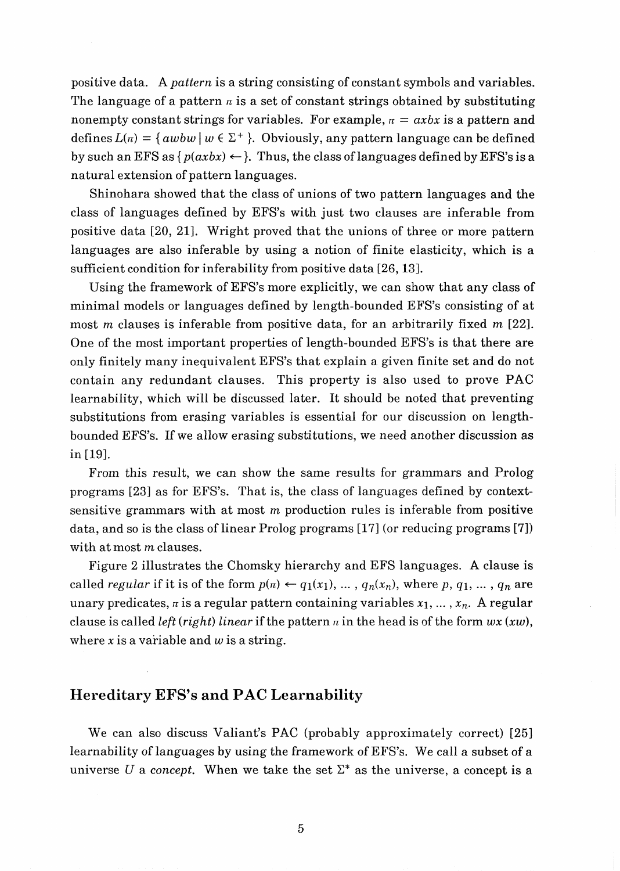positive data. A pattern is a string consisting of constant symbols and variables. The language of a pattern  $\pi$  is a set of constant strings obtained by substituting nonempty constant strings for variables. For example,  $n = axbx$  is a pattern and defines  $L(n) = \{awbw \mid w \in \Sigma^+\}$ . Obviously, any pattern language can be defined by such an EFS as  $\{p(axbx) \leftarrow \}$ . Thus, the class of languages defined by EFS's is a natural extension of pattern languages.

Shinohara showed that the class of unions of two pattern languages and the class of languages defined by EFS's with just two clauses are inferable from positive data [20, 21]. Wright proved that the unions of three or more pattern languages are also inferable by using a notion of finite elasticity, which is a sufficient condition for inferability from positive data [26,13].

Using the framework of EFS's more explicitly, we can show that any class of minimal models or languages defined by length-bounded EFS's consisting of at most *m* clauses is inferable from positive data, for an arbitrarily fixed *m* [22]. One of the most important properties of length-bounded EFS's is that there are only finitely many inequivalent EFS's that explain a given finite set and do not contain any redundant clauses. This property is also used to prove PAC learnability, which will be discussed later. It should be noted that preventing substitutions from erasing variables is essential for our discussion on lengthbounded EFS's. If we allow erasing substitutions, we need another discussion as in [19].

From this result, we can show the same results for grammars and Prolog programs [23] as for EFS's. That is, the class of languages defined by contextsensitive grammars with at most  $m$  production rules is inferable from positive data, and so is the class of linear Prolog programs [I71 (or reducing programs [7]) with at most  $m$  clauses.

Figure 2 illustrates the Chomsky hierarchy and EFS languages. A clause is called regular if it is of the form  $p(n) \leftarrow q_1(x_1), \ldots, q_n(x_n)$ , where p,  $q_1, \ldots, q_n$  are unary predicates,  $\pi$  is a regular pattern containing variables  $x_1, \ldots, x_n$ . A regular clause is called *left* (*right*) linear if the pattern  $\pi$  in the head is of the form  $wx(xw)$ , where x is a variable and  $w$  is a string.

#### **Hereditary EFS's and PAC Learnability**

We can also discuss Valiant's PAC (probably approximately correct) [25] learnability of languages by using the framework of EFS's. We call a subset of a universe *U* a concept. When we take the set  $\Sigma^*$  as the universe, a concept is a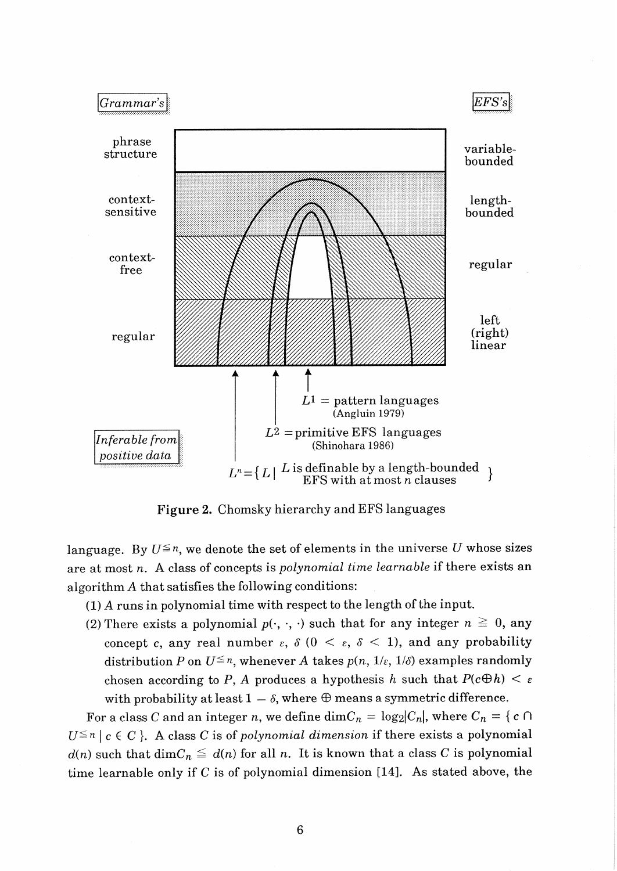

**Figure 2.** Chomsky hierarchy and EFS languages

language. By  $U \leq n$ , we denote the set of elements in the universe U whose sizes are at most *n.* A class of concepts is *polynomial time learnable* if there exists an algorithm A that satisfies the following conditions:

- (I) A runs in polynomial time with respect to the length of the input.
- (2) There exists a polynomial  $p(\cdot, \cdot, \cdot)$  such that for any integer  $n \geq 0$ , any concept c, any real number  $\varepsilon$ ,  $\delta$  (0 <  $\varepsilon$ ,  $\delta$  < 1), and any probability distribution *P* on  $U^{\leq n}$ , whenever *A* takes  $p(n, 1/\varepsilon, 1/\delta)$  examples randomly chosen according to P, A produces a hypothesis h such that  $P(c \oplus h) < \varepsilon$ with probability at least  $1 - \delta$ , where  $\oplus$  means a symmetric difference.

For a class C and an integer *n*, we define dim $C_n = \log_2 |C_n|$ , where  $C_n = \{c \cap C \}$  $U^{\leq n}$   $c \in C$  }. A class C is of *polynomial dimension* if there exists a polynomial  $d(n)$  such that  $\dim C_n \leq d(n)$  for all *n*. It is known that a class C is polynomial time learnable only if C is of polynomial dimension [14]. As stated above, the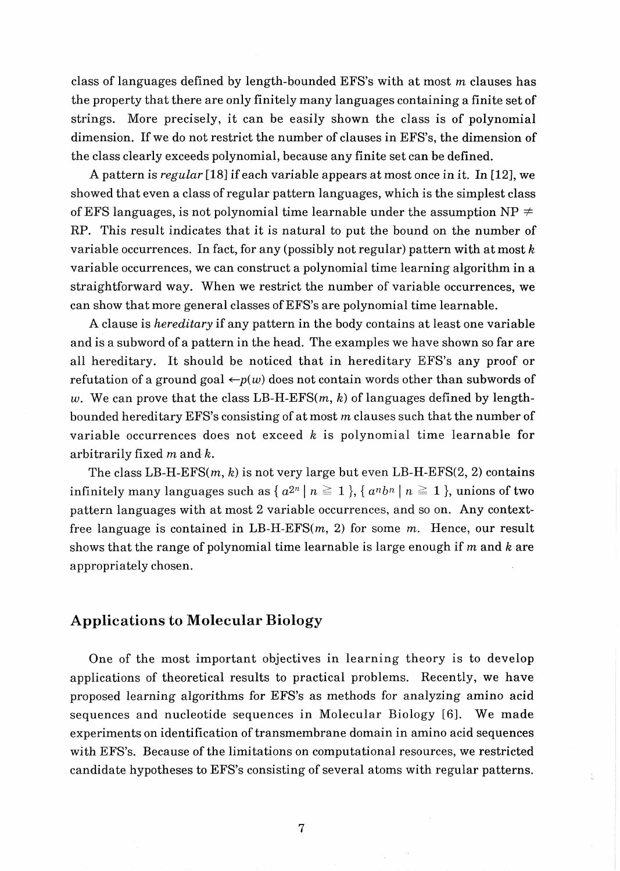class of languages defined by length-bounded EFS's with at most m clauses has the property that there are only finitely many languages containing a finite set of strings. More precisely, it can be easily shown the class is of polynomial dimension. If we do not restrict the number of clauses in EFS's, the dimension of the class clearly exceeds polynomial, because any finite set can be defined.

A pattern is *regular* [18] if each variable appears at most once in it. In [12], we showed that even a class of regular pattern languages, which is the simplest class of EFS languages, is not polynomial time learnable under the assumption  $NP \neq$ RP. This result indicates that it is natural to put the bound on the number of variable occurrences. In fact, for any (possibly not regular) pattern with at most  $k$ variable occurrences, we can construct a polynomial time learning algorithm in a straightforward way. When we restrict the number of variable occurrences, we can show that more general classes of EFS's are polynomial time learnable.

A clause is *hereditary* if any pattern in the body contains at least one variable and is a subword of a pattern in the head. The examples we have shown so far are all hereditary. It should be noticed that in hereditary EFS's any proof or refutation of a ground goal  $\leftarrow p(w)$  does not contain words other than subwords of w. We can prove that the class LB-H-EFS $(m, k)$  of languages defined by lengthbounded hereditary EFS's consisting of at most  $m$  clauses such that the number of variable occurrences does not exceed  $k$  is polynomial time learnable for arbitrarily fixed  $m$  and  $k$ .

The class LB-H-EFS $(m, k)$  is not very large but even LB-H-EFS $(2, 2)$  contains infinitely many languages such as  $\{a^{2n} \mid n \geq 1\}$ ,  $\{a^{n}b^{n} \mid n \geq 1\}$ , unions of two pattern languages with at most 2 variable occurrences, and so on. Any contextfree language is contained in LB-H-EFS $(m, 2)$  for some m. Hence, our result shows that the range of polynomial time learnable is large enough if  $m$  and  $k$  are appropriately chosen.

### **Applications to Molecular Biology**

One of the most important objectives in learning theory is to develop applications of theoretical results to practical problems. Recently, we have proposed learning algorithms for EFS's as methods for analyzing amino acid sequences and nucleotide sequences in Molecular Biology [6]. We made experiments on identification of transmembrane domain in amino acid sequences with EFS's. Because of the limitations on computational resources, we restricted candidate hypotheses to EFS's consisting of several atoms with regular patterns.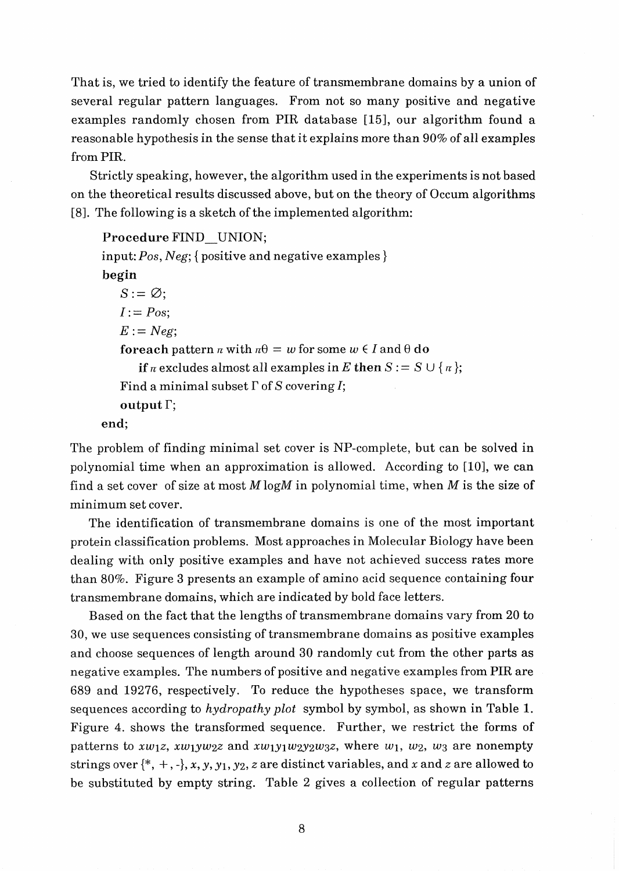That is, we tried to identify the feature of transmembrane domains by a union of several regular pattern languages. From not so many positive and negative examples randomly chosen from PIR database [15], our algorithm found a reasonable hypothesis in the sense that it explains more than 90% of all examples from PIR.

Strictly speaking, however, the algorithm used in the experiments is not based on the theoretical results discussed above, but on the theory of Occum algorithms [8]. The following is a sketch of the implemented algorithm:

```
Procedure FIND-UNION; 
input: Pos, Neg; { positive and negative examples } 
begin 
   S:=\emptyset;
   I := Pos;
   E := Neg;foreach pattern \pi with n\theta = w for some w \in I and \theta do
       if n excludes almost all examples in E then S := S \cup \{n\};
   Find a minimal subset \Gamma of S covering I;
   output \Gamma:
end;
```
The problem of finding minimal set cover is NP-complete, but can be solved in polynomial time when an approximation is allowed. According to  $[10]$ , we can find a set cover of size at most  $M \log M$  in polynomial time, when  $M$  is the size of minimum set cover.

The identification of transmembrane domains is one of the most important protein classification problems. Most approaches in Molecular Biology have been dealing with only positive examples and have not achieved success rates more than 80%. Figure **3** presents an example of amino acid sequence containing four transmembrane domains, which are indicated by bold face letters.

Based on the fact that the lengths of transmembrane domains vary from 20 to 30, we use sequences consisting of transmembrane domains as positive examples and choose sequences of length around **30** randomly cut from the other parts as negative examples. The numbers of positive and negative examples from PIR are 689 and 19276, respectively. To reduce the hypotheses space, we transform sequences according to hydropathy plot symbol by symbol, as shown in Table 1. Figure 4. shows the transformed sequence. Further, we restrict the forms of patterns to  $xw_1z$ ,  $xw_1yw_2z$  and  $xw_1y_1w_2y_2w_3z$ , where  $w_1$ ,  $w_2$ ,  $w_3$  are nonempty strings over  $\{\ast, +, -\}, x, y, y_1, y_2, z$  are distinct variables, and x and z are allowed to be substituted by empty string. Table 2 gives a collection of regular patterns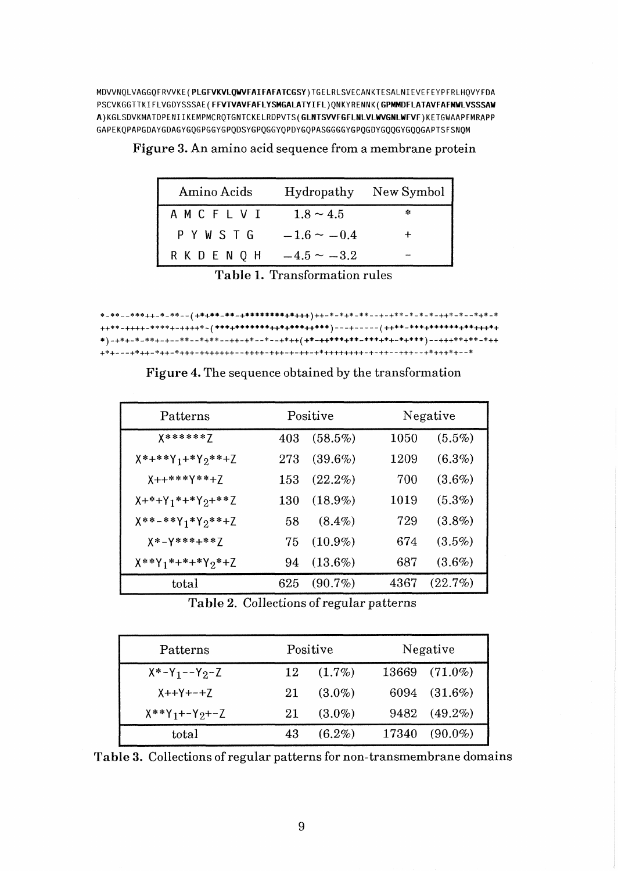**MDVVNQLVAGGQFRVVKE(PLGFVKVLQWFA1FAFATCGSY)TGELRLSVECANKTESALNIEVEFEYPFRLHQVYFDA PSCVKGGTTKIFLVGDYSSSAE(FFVTVAVFAFLYSMGALATYIFL)QNKYRENNK(GPMMDFLATAVFAFMWLVSSSAW A)KGLSDVKMATDPENIIKEMPMCRQTGNTCKELRDPVTS(GLNTSWFGFLNLVLWGNLWFVF)KETGWAAPFMRAPP GAPEKQPAPGDAYGDAGYGQGPGGYGPQDSYGPQGGYQPDYGQPASGGGGYGPQGDYGQQGYGQQGAPTSFSNQM** 

| Amino Acids   |                  | Hydropathy New Symbol |
|---------------|------------------|-----------------------|
| AMCFLVI       | $1.8 \sim 4.5$   | *                     |
| PYWSTG        | $-1.6 \sim -0.4$ |                       |
| R K D E N Q H | $-4.5 \sim -3.2$ |                       |

| Figure 3. An amino acid sequence from a membrane protein |  |  |  |
|----------------------------------------------------------|--|--|--|
|----------------------------------------------------------|--|--|--|

\*)-+\*+-\*-\*\*+-+--\*\*--\*+\*\*--++-+\*--\*--+\*++(+**\*-++\*\*\*+\*\*-\*\*+**++++++++++\*\*+\*\*-\*++ 

| Patterns                                      | Positive |            | Negative |            |
|-----------------------------------------------|----------|------------|----------|------------|
| X******Z                                      | 403      | $(58.5\%)$ | 1050     | $(5.5\%)$  |
| $X^*$ +**Y <sub>1</sub> +*Y <sub>2</sub> **+Z | 273      | $(39.6\%)$ | 1209     | $(6.3\%)$  |
| $X++***Y***+Z$                                | 153      | $(22.2\%)$ | 700      | $(3.6\%)$  |
| $X+*+Y_1*+*Y_2+**Z$                           | 130      | $(18.9\%)$ | 1019     | $(5.3\%)$  |
| $X***-**Y_1*Y_2**+Z$                          | 58       | $(8.4\%)$  | 729      | $(3.8\%)$  |
| $X * - Y * * * + * * Z$                       | 75       | $(10.9\%)$ | 674      | $(3.5\%)$  |
| $X***Y_1*+*+*Y_2*+Z$                          | 94       | $(13.6\%)$ | 687      | $(3.6\%)$  |
| total                                         | 625      | $(90.7\%)$ | 4367     | $(22.7\%)$ |

Figure 4. The sequence obtained by the transformation

Table 2. Collections of regular patterns

| Patterns               |    | Positive    |  | Negative         |  |
|------------------------|----|-------------|--|------------------|--|
| $X^* - Y_1 - -Y_2 - Z$ |    | $12(1.7\%)$ |  | 13669 (71.0%)    |  |
| $X++Y+-+Z$             | 21 | $(3.0\%)$   |  | 6094 (31.6%)     |  |
| $X^*Y_1 + -Y_2 + -Z$   | 21 | $(3.0\%)$   |  | 9482 (49.2%)     |  |
| total                  | 43 | $(6.2\%)$   |  | $17340 (90.0\%)$ |  |

Table 3. Collections of regular patterns for non-transmembrane domains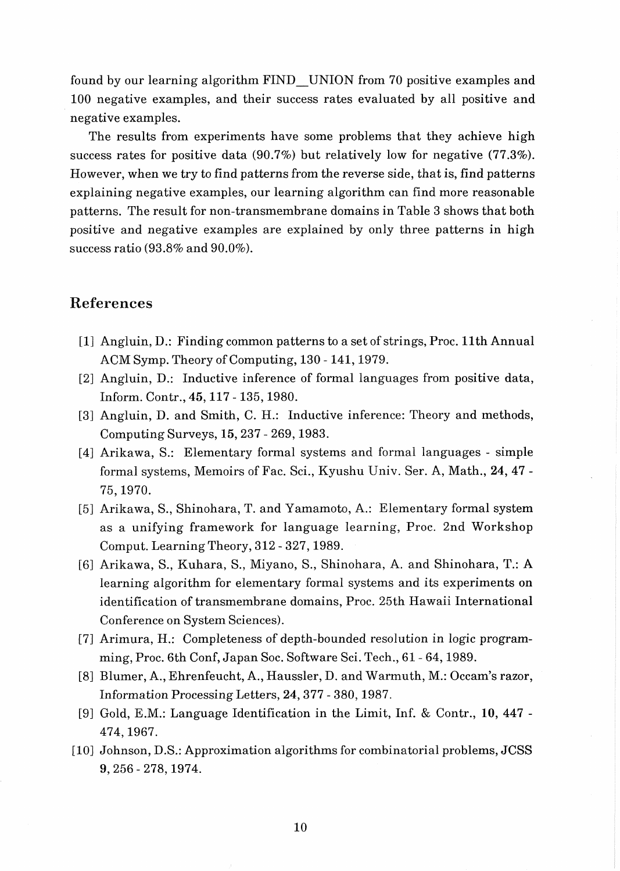found by our learning algorithm FIND-UNION from 70 positive examples and 100 negative examples, and their success rates evaluated by all positive and negative examples.

The results from experiments have some problems that they achieve high success rates for positive data (90.7%) but relatively low for negative (77.3%). However, when we try to find patterns from the reverse side, that is, find patterns explaining negative examples, our learning algorithm can find more reasonable patterns. The result for non-transmembrane domains in Table **3** shows that both positive and negative examples are explained by only three patterns in high success ratio (93.8% and 90.0%).

### **References**

- [I] Angluin, D.: Finding common patterns to a set of strings, Proc. 11th Annual ACM Symp. Theory of Computing, 130 - 141, 1979.
- [2] Angluin, D.: Inductive inference of formal languages from positive data, Inform. Contr., 45,117 - 135,1980.
- [3] Angluin, D. and Smith, C. H.: Inductive inference: Theory and methods, Computing Surveys, 15,237 - 269,1983.
- [4] Arikawa, S.: Elementary formal systems and formal languages simple formal systems, Memoirs of Fac. Sci., Kyushu Univ. Ser. A, Math., 24, 47 - 75,1970.
- [5] Arikawa, S., Shinohara, T. and Yamamoto, A.: Elementary formal system as a unifying framework for language learning, Proc. 2nd Workshop Comput. Learning Theory, 312 - 327,1989.
- [6] Arikawa, S., Kuhara, S., Miyano, S., Shinohara, A. and Shinohara, T.: A learning algorithm for elementary formal systems and its experiments on identification of transmembrane domains, Proc. 25th Hawaii International Conference on System Sciences).
- [7] Arimura, H.: Completeness of depth-bounded resolution in logic programming, Proc. 6th Conf, Japan Soc. Software Sci. Tech., 61 - 64,1989.
- [B] Blumer, A., Ehrenfeucht, **A.,** Haussler, D. and Warmuth, M.: Occam's razor, Information Processing Letters, 24,377 - 380,1987.
- [9] Gold, E.M.: Language Identification in the Limit, Inf. & Contr., **10,** 447 474,1967.
- [10] Johnson, D.S.: Approximation algorithms for combinatorial problems, JCSS 9,256 - 278,1974.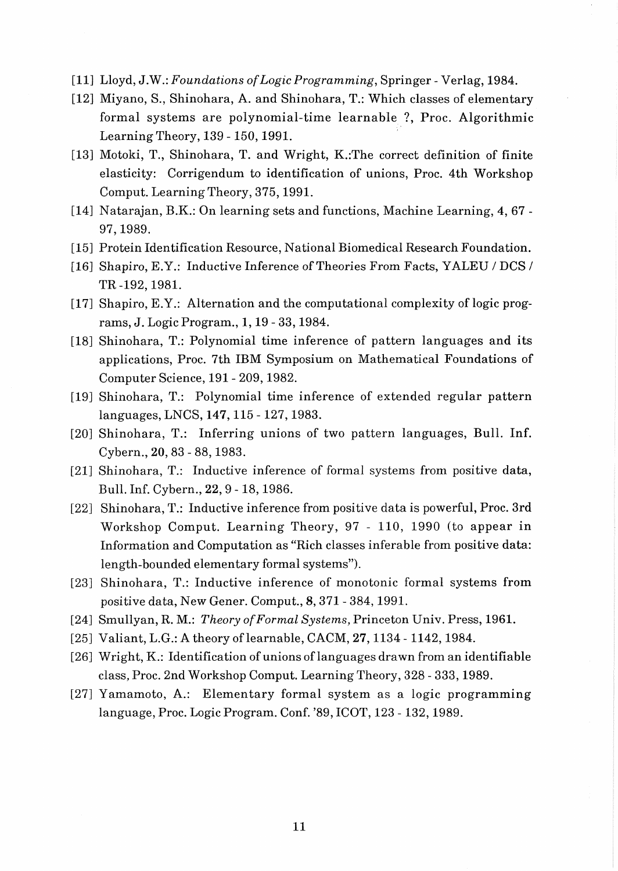- [11] Lloyd, J.W.: Foundations of Logic Programming, Springer Verlag, 1984.
- [12] Miyano, S., Shinohara, A. and Shinohara, T.: Which classes of elementary formal systems are polynomial-time learnable ?, Proc. Algorithmic Learning Theory, 139 - 150,1991.
- [I31 Motoki, T., Shinohara, T. and Wright, K.:The correct definition of finite elasticity: Corrigendum to identification of unions, Proc. 4th Workshop Comput. Learning Theory, 375,1991.
- [14] Natarajan, B.K.: On learning sets and functions, Machine Learning, 4, 67 97,1989.
- [15] Protein Identification Resource, National Biomedical Research Foundation.
- [16] Shapiro, E.Y.: Inductive Inference of Theories From Facts, YALEU / DCS / TR -192,1981.
- [17] Shapiro, E.Y.: Alternation and the computational complexity of logic programs, J. Logic Program., 1,19 - 33,1984.
- [18] Shinohara, T.: Polynomial time inference of pattern languages and its applications, Proc. 7th IBM Symposium on Mathematical Foundations of Computer Science, 191 - 209,1982.
- [19] Shinohara, T.: Polynomial time inference of extended regular pattern languages, LNCS, 147,115 - 127,1983.
- [20] Shinohara, T.: Inferring unions of two pattern languages, Bull. Inf. Cybern., 20,83 - 88,1983.
- [21] Shinohara, T.: Inductive inference of formal systems from positive data, Bull. Inf. Cybern., 22, 9 - 18, 1986.
- [22] Shinohara, T.: Inductive inference from positive data is powerful, Proc. **3rd**  Workshop Comput. Learning Theory, 97 - 110, 1990 (to appear in Information and Computation as "Rich classes inferable from positive data: length-bounded elementary formal systems").
- [23] Shinohara, T.: Inductive inference of monotonic formal systems from positive data, New Gener. Comput., 8,371 - 384,1991.
- [24] Smullyan, R. M.: Theory of Formal Systems, Princeton Univ. Press, 1961.
- [25] Valiant, L.G.: A theory of learnable, CACM, 27, 1134 1142, 1984.
- [26] Wright, K.: Identification of unions of languages drawn from an identifiable class, Proc. 2nd Workshop Comput. Learning Theory, 328 - 333,1989.
- [27] Yamamoto, A.: Elementary formal system as a logic programming language, Proc. Logic Program. Conf. '89, ICOT, 123 - 132,1989.